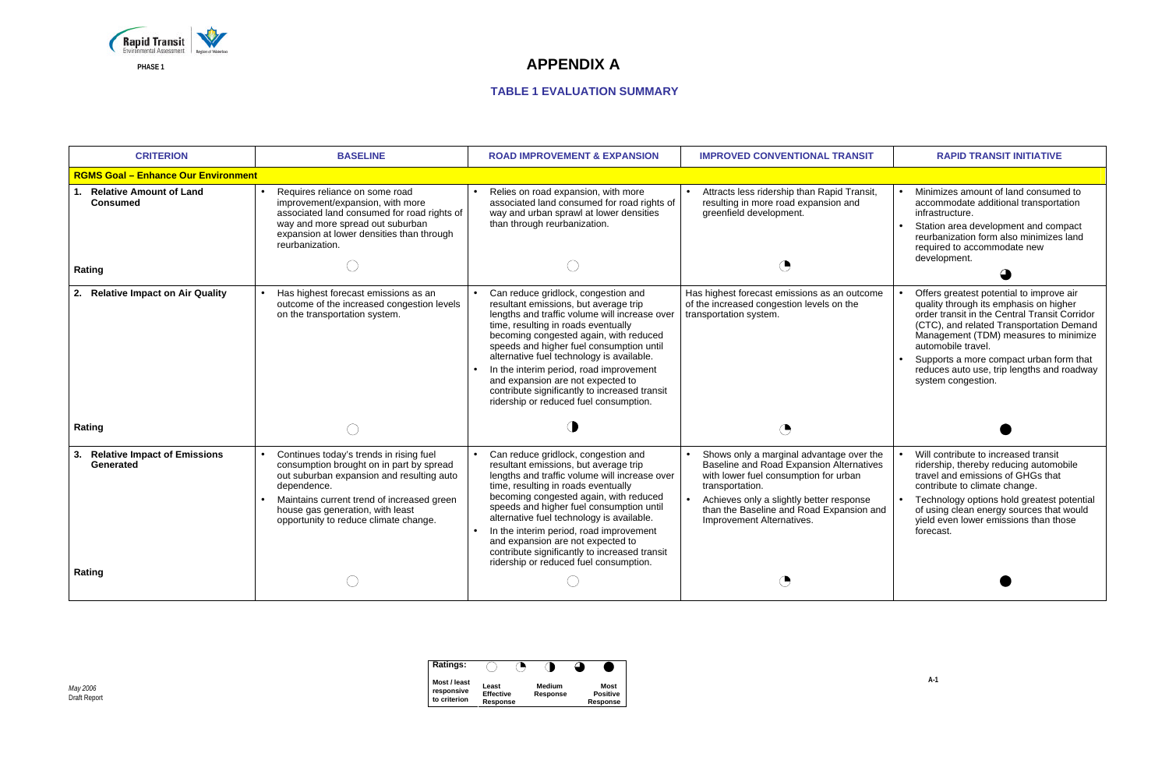

| <b>Ratings:</b>                            |                                       |                           |                                     |
|--------------------------------------------|---------------------------------------|---------------------------|-------------------------------------|
| Most / least<br>responsive<br>to criterion | Least<br><b>Effective</b><br>Response | <b>Medium</b><br>Response | Most<br><b>Positive</b><br>Response |

| <b>CRITERION</b>                                                              | <b>BASELINE</b>                                                                                                                                                                                                                                                            | <b>ROAD IMPROVEMENT &amp; EXPANSION</b>                                                                                                                                                                                                                                                                                                                                                                                                                                            | <b>IMPROVED CONVENTIONAL TRANSIT</b>                                                                                                                                                                                                                                  | <b>RAPID TRANSIT INITIATIVE</b>                                                                                                                                                                                                                                                                                                                               |
|-------------------------------------------------------------------------------|----------------------------------------------------------------------------------------------------------------------------------------------------------------------------------------------------------------------------------------------------------------------------|------------------------------------------------------------------------------------------------------------------------------------------------------------------------------------------------------------------------------------------------------------------------------------------------------------------------------------------------------------------------------------------------------------------------------------------------------------------------------------|-----------------------------------------------------------------------------------------------------------------------------------------------------------------------------------------------------------------------------------------------------------------------|---------------------------------------------------------------------------------------------------------------------------------------------------------------------------------------------------------------------------------------------------------------------------------------------------------------------------------------------------------------|
| <b>RGMS Goal - Enhance Our Environment</b>                                    |                                                                                                                                                                                                                                                                            |                                                                                                                                                                                                                                                                                                                                                                                                                                                                                    |                                                                                                                                                                                                                                                                       |                                                                                                                                                                                                                                                                                                                                                               |
| <b>Relative Amount of Land</b><br>$\mathbf{1}$ .<br><b>Consumed</b><br>Rating | Requires reliance on some road<br>improvement/expansion, with more<br>associated land consumed for road rights of<br>way and more spread out suburban<br>expansion at lower densities than through<br>reurbanization.                                                      | Relies on road expansion, with more<br>associated land consumed for road rights of<br>way and urban sprawl at lower densities<br>than through reurbanization.                                                                                                                                                                                                                                                                                                                      | Attracts less ridership than Rapid Transit,<br>resulting in more road expansion and<br>greenfield development.                                                                                                                                                        | Minimizes amount of land consumed to<br>accommodate additional transportation<br>infrastructure.<br>Station area development and compact<br>reurbanization form also minimizes land<br>required to accommodate new<br>development.                                                                                                                            |
| 2.<br><b>Relative Impact on Air Quality</b><br>Rating                         | Has highest forecast emissions as an<br>outcome of the increased congestion levels<br>on the transportation system.                                                                                                                                                        | Can reduce gridlock, congestion and<br>resultant emissions, but average trip<br>lengths and traffic volume will increase over<br>time, resulting in roads eventually<br>becoming congested again, with reduced<br>speeds and higher fuel consumption until<br>alternative fuel technology is available.<br>In the interim period, road improvement<br>and expansion are not expected to<br>contribute significantly to increased transit<br>ridership or reduced fuel consumption. | Has highest forecast emissions as an outcome<br>of the increased congestion levels on the<br>transportation system.<br>$\bigcirc$                                                                                                                                     | Offers greatest potential to improve air<br>quality through its emphasis on higher<br>order transit in the Central Transit Corridor<br>(CTC), and related Transportation Demand<br>Management (TDM) measures to minimize<br>automobile travel.<br>Supports a more compact urban form that<br>reduces auto use, trip lengths and roadway<br>system congestion. |
|                                                                               |                                                                                                                                                                                                                                                                            |                                                                                                                                                                                                                                                                                                                                                                                                                                                                                    |                                                                                                                                                                                                                                                                       |                                                                                                                                                                                                                                                                                                                                                               |
| <b>Relative Impact of Emissions</b><br>3.<br>Generated<br>Rating              | Continues today's trends in rising fuel<br>consumption brought on in part by spread<br>out suburban expansion and resulting auto<br>dependence.<br>Maintains current trend of increased green<br>house gas generation, with least<br>opportunity to reduce climate change. | Can reduce gridlock, congestion and<br>resultant emissions, but average trip<br>lengths and traffic volume will increase over<br>time, resulting in roads eventually<br>becoming congested again, with reduced<br>speeds and higher fuel consumption until<br>alternative fuel technology is available.<br>In the interim period, road improvement<br>and expansion are not expected to<br>contribute significantly to increased transit<br>ridership or reduced fuel consumption. | Shows only a marginal advantage over the<br>Baseline and Road Expansion Alternatives<br>with lower fuel consumption for urban<br>transportation.<br>Achieves only a slightly better response<br>than the Baseline and Road Expansion and<br>Improvement Alternatives. | Will contribute to increased transit<br>ridership, thereby reducing automobile<br>travel and emissions of GHGs that<br>contribute to climate change.<br>Technology options hold greatest potential<br>of using clean energy sources that would<br>yield even lower emissions than those<br>forecast.                                                          |
|                                                                               |                                                                                                                                                                                                                                                                            |                                                                                                                                                                                                                                                                                                                                                                                                                                                                                    |                                                                                                                                                                                                                                                                       |                                                                                                                                                                                                                                                                                                                                                               |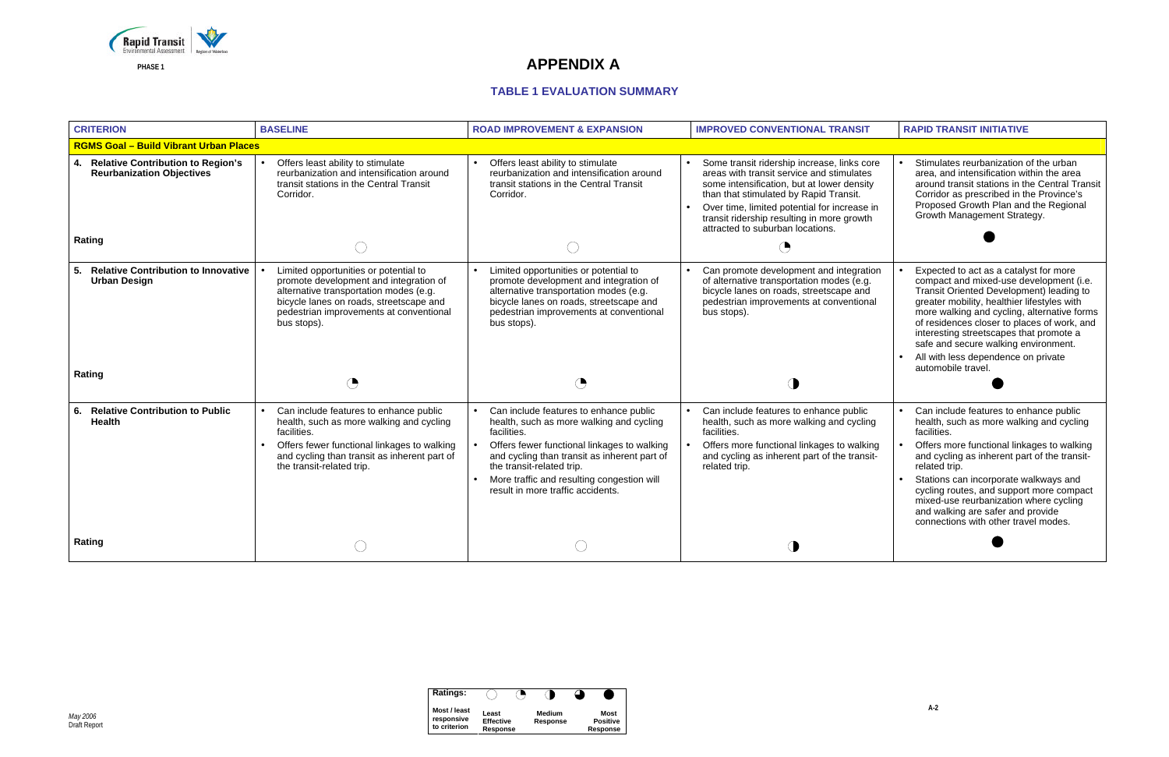

| <b>Ratings:</b>                            |                                       |                           |                                     |
|--------------------------------------------|---------------------------------------|---------------------------|-------------------------------------|
| Most / least<br>responsive<br>to criterion | Least<br><b>Effective</b><br>Response | <b>Medium</b><br>Response | Most<br><b>Positive</b><br>Response |

| <b>CRITERION</b>                                                                             | <b>BASELINE</b>                                                                                                                                                                                                                | <b>ROAD IMPROVEMENT &amp; EXPANSION</b>                                                                                                                                                                                                                                                                          | <b>IMPROVED CONVENTIONAL TRANSIT</b>                                                                                                                                                                                                                                                                                            | <b>RAPID TRANSIT INITIATIVE</b>                                                                                                                                                                                                                                                                                                                                                                                              |
|----------------------------------------------------------------------------------------------|--------------------------------------------------------------------------------------------------------------------------------------------------------------------------------------------------------------------------------|------------------------------------------------------------------------------------------------------------------------------------------------------------------------------------------------------------------------------------------------------------------------------------------------------------------|---------------------------------------------------------------------------------------------------------------------------------------------------------------------------------------------------------------------------------------------------------------------------------------------------------------------------------|------------------------------------------------------------------------------------------------------------------------------------------------------------------------------------------------------------------------------------------------------------------------------------------------------------------------------------------------------------------------------------------------------------------------------|
| <b>RGMS Goal - Build Vibrant Urban Places</b>                                                |                                                                                                                                                                                                                                |                                                                                                                                                                                                                                                                                                                  |                                                                                                                                                                                                                                                                                                                                 |                                                                                                                                                                                                                                                                                                                                                                                                                              |
| <b>Relative Contribution to Region's</b><br>4.<br><b>Reurbanization Objectives</b><br>Rating | Offers least ability to stimulate<br>reurbanization and intensification around<br>transit stations in the Central Transit<br>Corridor.                                                                                         | Offers least ability to stimulate<br>reurbanization and intensification around<br>transit stations in the Central Transit<br>Corridor.                                                                                                                                                                           | Some transit ridership increase, links core<br>areas with transit service and stimulates<br>some intensification, but at lower density<br>than that stimulated by Rapid Transit.<br>Over time, limited potential for increase in<br>$\bullet$<br>transit ridership resulting in more growth<br>attracted to suburban locations. | Stimulates reurbanization of the urban<br>area, and intensification within the area<br>around transit stations in the Central Transit<br>Corridor as prescribed in the Province's<br>Proposed Growth Plan and the Regional<br>Growth Management Strategy.                                                                                                                                                                    |
|                                                                                              |                                                                                                                                                                                                                                |                                                                                                                                                                                                                                                                                                                  | $\bigodot$                                                                                                                                                                                                                                                                                                                      |                                                                                                                                                                                                                                                                                                                                                                                                                              |
| <b>Relative Contribution to Innovative</b><br>5.<br><b>Urban Design</b><br>Rating            | Limited opportunities or potential to<br>promote development and integration of<br>alternative transportation modes (e.g.<br>bicycle lanes on roads, streetscape and<br>pedestrian improvements at conventional<br>bus stops). | Limited opportunities or potential to<br>promote development and integration of<br>alternative transportation modes (e.g.<br>bicycle lanes on roads, streetscape and<br>pedestrian improvements at conventional<br>bus stops).                                                                                   | Can promote development and integration<br>of alternative transportation modes (e.g.<br>bicycle lanes on roads, streetscape and<br>pedestrian improvements at conventional<br>bus stops).                                                                                                                                       | Expected to act as a catalyst for more<br>compact and mixed-use development (i.e.<br>Transit Oriented Development) leading to<br>greater mobility, healthier lifestyles with<br>more walking and cycling, alternative forms<br>of residences closer to places of work, and<br>interesting streetscapes that promote a<br>safe and secure walking environment.<br>All with less dependence on private<br>automobile travel.   |
|                                                                                              |                                                                                                                                                                                                                                |                                                                                                                                                                                                                                                                                                                  |                                                                                                                                                                                                                                                                                                                                 |                                                                                                                                                                                                                                                                                                                                                                                                                              |
| <b>Relative Contribution to Public</b><br>6.<br>Health                                       | Can include features to enhance public<br>health, such as more walking and cycling<br>facilities.<br>Offers fewer functional linkages to walking<br>and cycling than transit as inherent part of<br>the transit-related trip.  | Can include features to enhance public<br>health, such as more walking and cycling<br>facilities.<br>Offers fewer functional linkages to walking<br>and cycling than transit as inherent part of<br>the transit-related trip.<br>More traffic and resulting congestion will<br>result in more traffic accidents. | Can include features to enhance public<br>health, such as more walking and cycling<br>facilities.<br>Offers more functional linkages to walking<br>and cycling as inherent part of the transit-<br>related trip.                                                                                                                | Can include features to enhance public<br>health, such as more walking and cycling<br>facilities.<br>Offers more functional linkages to walking<br>and cycling as inherent part of the transit-<br>related trip.<br>Stations can incorporate walkways and<br>cycling routes, and support more compact<br>mixed-use reurbanization where cycling<br>and walking are safer and provide<br>connections with other travel modes. |
| Rating                                                                                       |                                                                                                                                                                                                                                |                                                                                                                                                                                                                                                                                                                  |                                                                                                                                                                                                                                                                                                                                 |                                                                                                                                                                                                                                                                                                                                                                                                                              |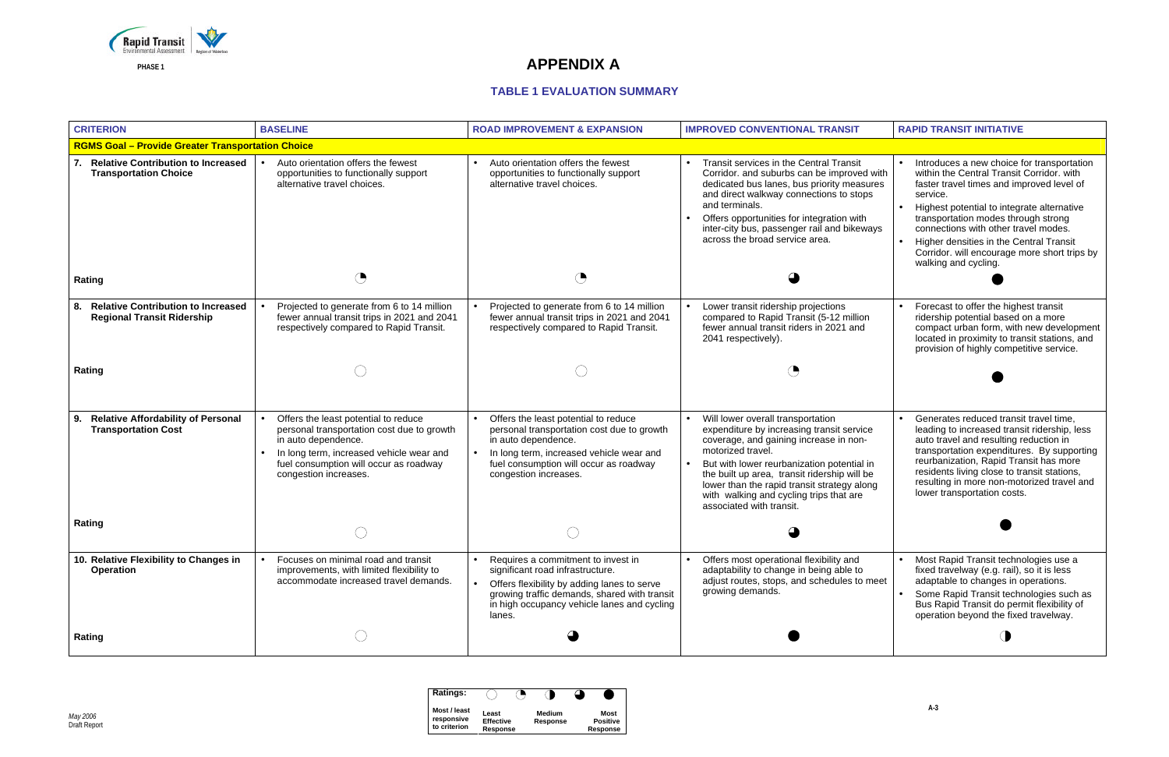

| <b>Ratings:</b>                            |                                       |                    |                                     |
|--------------------------------------------|---------------------------------------|--------------------|-------------------------------------|
| Most / least<br>responsive<br>to criterion | Least<br><b>Effective</b><br>Response | Medium<br>Response | Most<br><b>Positive</b><br>Response |

| <b>CRITERION</b>                                                                                 | <b>BASELINE</b>                                                                                                                                       | <b>ROAD IMPROVEMENT &amp; EXPANSION</b>                                                                                                                                                                                        | <b>IMPROVED CONVENTIONAL TRANSIT</b>                                                                                                                                                                                                                                                                                           | <b>RAPID TRANSIT INITIATIVE</b>                                                                                                                                                                                                                                                 |
|--------------------------------------------------------------------------------------------------|-------------------------------------------------------------------------------------------------------------------------------------------------------|--------------------------------------------------------------------------------------------------------------------------------------------------------------------------------------------------------------------------------|--------------------------------------------------------------------------------------------------------------------------------------------------------------------------------------------------------------------------------------------------------------------------------------------------------------------------------|---------------------------------------------------------------------------------------------------------------------------------------------------------------------------------------------------------------------------------------------------------------------------------|
| <b>RGMS Goal - Provide Greater Transportation Choice</b>                                         |                                                                                                                                                       |                                                                                                                                                                                                                                |                                                                                                                                                                                                                                                                                                                                |                                                                                                                                                                                                                                                                                 |
| <b>Relative Contribution to Increased</b><br>7.<br><b>Transportation Choice</b><br><b>Rating</b> | Auto orientation offers the fewest<br>opportunities to functionally support<br>alternative travel choices.                                            | Auto orientation offers the fewest<br>opportunities to functionally support<br>alternative travel choices.                                                                                                                     | Transit services in the Central Transit<br>Corridor. and suburbs can be improved with<br>dedicated bus lanes, bus priority measures<br>and direct walkway connections to stops<br>and terminals.<br>Offers opportunities for integration with<br>inter-city bus, passenger rail and bikeways<br>across the broad service area. | Introduces a new choice f<br>within the Central Transit<br>faster travel times and im<br>service.<br>Highest potential to integr<br>transportation modes thro<br>connections with other tra<br>Higher densities in the Ce<br>Corridor. will encourage n<br>walking and cycling. |
|                                                                                                  |                                                                                                                                                       |                                                                                                                                                                                                                                |                                                                                                                                                                                                                                                                                                                                |                                                                                                                                                                                                                                                                                 |
| <b>Relative Contribution to Increased</b><br>8.<br><b>Regional Transit Ridership</b>             | Projected to generate from 6 to 14 million<br>fewer annual transit trips in 2021 and 2041<br>respectively compared to Rapid Transit.                  | Projected to generate from 6 to 14 million<br>fewer annual transit trips in 2021 and 2041<br>respectively compared to Rapid Transit.                                                                                           | Lower transit ridership projections<br>compared to Rapid Transit (5-12 million<br>fewer annual transit riders in 2021 and<br>2041 respectively).                                                                                                                                                                               | Forecast to offer the high<br>ridership potential based<br>compact urban form, with<br>located in proximity to trai<br>provision of highly compe                                                                                                                                |
| Rating                                                                                           |                                                                                                                                                       |                                                                                                                                                                                                                                |                                                                                                                                                                                                                                                                                                                                |                                                                                                                                                                                                                                                                                 |
| <b>Relative Affordability of Personal</b><br>9.<br><b>Transportation Cost</b>                    | Offers the least potential to reduce<br>personal transportation cost due to growth<br>in auto dependence.<br>In long term, increased vehicle wear and | Offers the least potential to reduce<br>personal transportation cost due to growth<br>in auto dependence.<br>In long term, increased vehicle wear and                                                                          | Will lower overall transportation<br>$\bullet$<br>expenditure by increasing transit service<br>coverage, and gaining increase in non-<br>motorized travel.                                                                                                                                                                     | Generates reduced transi<br>leading to increased trans<br>auto travel and resulting r<br>transportation expenditure                                                                                                                                                             |
|                                                                                                  | fuel consumption will occur as roadway<br>congestion increases.                                                                                       | fuel consumption will occur as roadway<br>congestion increases.                                                                                                                                                                | But with lower reurbanization potential in<br>the built up area, transit ridership will be<br>lower than the rapid transit strategy along<br>with walking and cycling trips that are<br>associated with transit.                                                                                                               | reurbanization, Rapid Tra<br>residents living close to tr<br>resulting in more non-mot<br>lower transportation costs                                                                                                                                                            |
| Rating                                                                                           |                                                                                                                                                       |                                                                                                                                                                                                                                |                                                                                                                                                                                                                                                                                                                                |                                                                                                                                                                                                                                                                                 |
| 10. Relative Flexibility to Changes in<br><b>Operation</b>                                       | Focuses on minimal road and transit<br>improvements, with limited flexibility to<br>accommodate increased travel demands.                             | Requires a commitment to invest in<br>significant road infrastructure.<br>Offers flexibility by adding lanes to serve<br>growing traffic demands, shared with transit<br>in high occupancy vehicle lanes and cycling<br>lanes. | Offers most operational flexibility and<br>adaptability to change in being able to<br>adjust routes, stops, and schedules to meet<br>growing demands.                                                                                                                                                                          | Most Rapid Transit techn<br>fixed travelway (e.g. rail),<br>adaptable to changes in o<br>Some Rapid Transit techr<br>Bus Rapid Transit do per<br>operation beyond the fixe                                                                                                      |
| <b>Rating</b>                                                                                    |                                                                                                                                                       |                                                                                                                                                                                                                                |                                                                                                                                                                                                                                                                                                                                |                                                                                                                                                                                                                                                                                 |

|                                        | <b>RAPID TRANSIT INITIATIVE</b>                                                                                                                                                                                                                                                                                                                                                                  |
|----------------------------------------|--------------------------------------------------------------------------------------------------------------------------------------------------------------------------------------------------------------------------------------------------------------------------------------------------------------------------------------------------------------------------------------------------|
|                                        |                                                                                                                                                                                                                                                                                                                                                                                                  |
| ed with<br>ısures<br>pps<br>th<br>ways | Introduces a new choice for transportation<br>within the Central Transit Corridor. with<br>faster travel times and improved level of<br>service.<br>Highest potential to integrate alternative<br>transportation modes through strong<br>connections with other travel modes.<br>Higher densities in the Central Transit<br>Corridor. will encourage more short trips by<br>walking and cycling. |
| on<br>d                                | Forecast to offer the highest transit<br>ridership potential based on a more<br>compact urban form, with new development<br>located in proximity to transit stations, and<br>provision of highly competitive service.                                                                                                                                                                            |
| 'ice<br>n-<br>ม in<br>be<br>long<br>Э  | Generates reduced transit travel time,<br>leading to increased transit ridership, less<br>auto travel and resulting reduction in<br>transportation expenditures. By supporting<br>reurbanization, Rapid Transit has more<br>residents living close to transit stations,<br>resulting in more non-motorized travel and<br>lower transportation costs.                                             |
| o meet                                 | Most Rapid Transit technologies use a<br>fixed travelway (e.g. rail), so it is less<br>adaptable to changes in operations.<br>Some Rapid Transit technologies such as<br>Bus Rapid Transit do permit flexibility of<br>operation beyond the fixed travelway.                                                                                                                                     |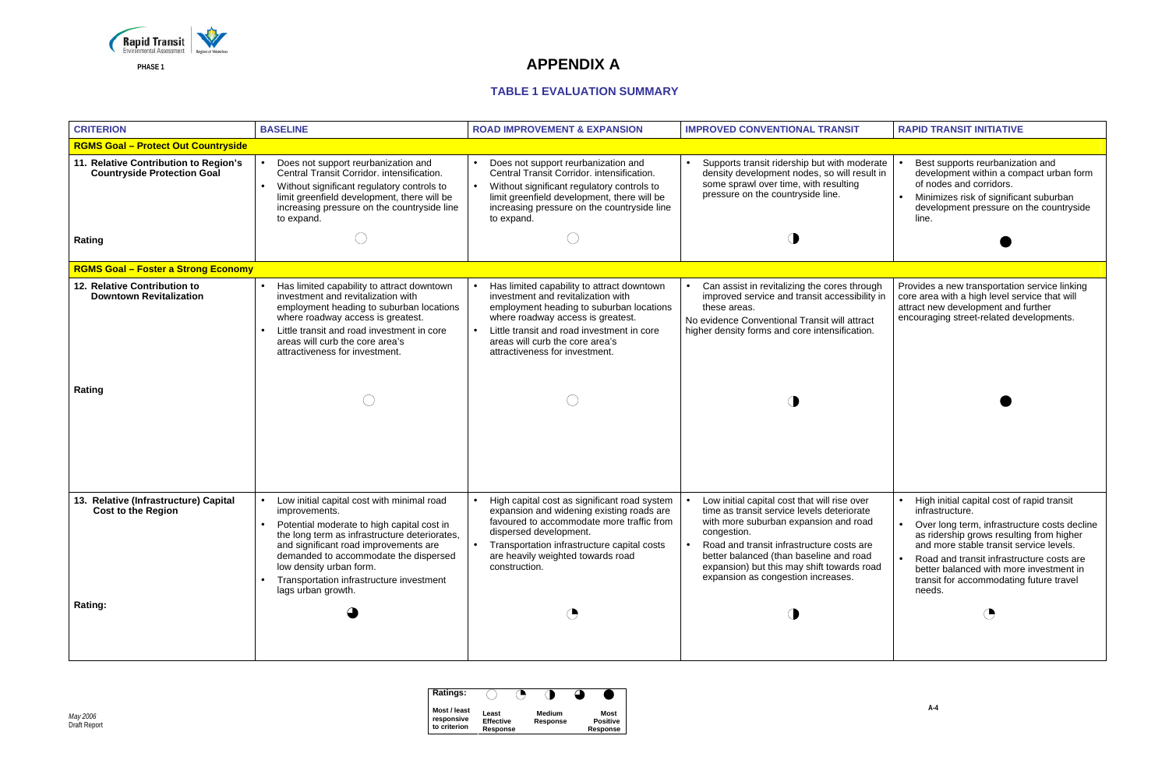

| <b>Ratings:</b>                            |                                       |                           |                                     |
|--------------------------------------------|---------------------------------------|---------------------------|-------------------------------------|
| Most / least<br>responsive<br>to criterion | Least<br><b>Effective</b><br>Response | <b>Medium</b><br>Response | Most<br><b>Positive</b><br>Response |

| <b>CRITERION</b>                                                                      | <b>BASELINE</b>                                                                                                                                                                                                                                                                                                                                        | <b>ROAD IMPROVEMENT &amp; EXPANSION</b>                                                                                                                                                                                                                                              | <b>IMPROVED CONVENTIONAL TRANSIT</b>                                                                                                                                                                                                                                                                                           | <b>RAPID TRANSIT INITIATIVE</b>                                                                                                                                                                                                              |
|---------------------------------------------------------------------------------------|--------------------------------------------------------------------------------------------------------------------------------------------------------------------------------------------------------------------------------------------------------------------------------------------------------------------------------------------------------|--------------------------------------------------------------------------------------------------------------------------------------------------------------------------------------------------------------------------------------------------------------------------------------|--------------------------------------------------------------------------------------------------------------------------------------------------------------------------------------------------------------------------------------------------------------------------------------------------------------------------------|----------------------------------------------------------------------------------------------------------------------------------------------------------------------------------------------------------------------------------------------|
| <b>RGMS Goal - Protect Out Countryside</b>                                            |                                                                                                                                                                                                                                                                                                                                                        |                                                                                                                                                                                                                                                                                      |                                                                                                                                                                                                                                                                                                                                |                                                                                                                                                                                                                                              |
| 11. Relative Contribution to Region's<br><b>Countryside Protection Goal</b><br>Rating | Does not support reurbanization and<br>Central Transit Corridor. intensification.<br>Without significant regulatory controls to<br>limit greenfield development, there will be<br>increasing pressure on the countryside line<br>to expand.                                                                                                            | Does not support reurbanization and<br>Central Transit Corridor. intensification.<br>Without significant regulatory controls to<br>limit greenfield development, there will be<br>increasing pressure on the countryside line<br>to expand.                                          | Supports transit ridership but with moderate<br>density development nodes, so will result in<br>some sprawl over time, with resulting<br>pressure on the countryside line.                                                                                                                                                     | Best supports reurbanizat<br>development within a con<br>of nodes and corridors.<br>Minimizes risk of significa<br>development pressure on<br>line.                                                                                          |
| <b>RGMS Goal - Foster a Strong Economy</b>                                            |                                                                                                                                                                                                                                                                                                                                                        |                                                                                                                                                                                                                                                                                      |                                                                                                                                                                                                                                                                                                                                |                                                                                                                                                                                                                                              |
| 12. Relative Contribution to<br><b>Downtown Revitalization</b><br>Rating              | Has limited capability to attract downtown<br>investment and revitalization with<br>employment heading to suburban locations<br>where roadway access is greatest.<br>Little transit and road investment in core<br>areas will curb the core area's<br>attractiveness for investment.                                                                   | Has limited capability to attract downtown<br>investment and revitalization with<br>employment heading to suburban locations<br>where roadway access is greatest.<br>Little transit and road investment in core<br>areas will curb the core area's<br>attractiveness for investment. | Can assist in revitalizing the cores through<br>$\bullet$<br>improved service and transit accessibility in<br>these areas.<br>No evidence Conventional Transit will attract<br>higher density forms and core intensification.                                                                                                  | Provides a new transportation<br>core area with a high level se<br>attract new development and<br>encouraging street-related de                                                                                                              |
| 13. Relative (Infrastructure) Capital<br><b>Cost to the Region</b><br><b>Rating:</b>  | Low initial capital cost with minimal road<br>$\bullet$<br>improvements.<br>Potential moderate to high capital cost in<br>the long term as infrastructure deteriorates,<br>and significant road improvements are<br>demanded to accommodate the dispersed<br>low density urban form.<br>Transportation infrastructure investment<br>lags urban growth. | High capital cost as significant road system<br>expansion and widening existing roads are<br>favoured to accommodate more traffic from<br>dispersed development.<br>Transportation infrastructure capital costs<br>are heavily weighted towards road<br>construction.<br>◔           | Low initial capital cost that will rise over<br>time as transit service levels deteriorate<br>with more suburban expansion and road<br>congestion.<br>Road and transit infrastructure costs are<br>better balanced (than baseline and road<br>expansion) but this may shift towards road<br>expansion as congestion increases. | High initial capital cost of<br>infrastructure.<br>Over long term, infrastruc<br>as ridership grows resultir<br>and more stable transit se<br>Road and transit infrastru<br>better balanced with more<br>transit for accommodating<br>needs. |

|                                      | <b>RAPID TRANSIT INITIATIVE</b>                                                                                                                                                                                                                                                                                                                  |
|--------------------------------------|--------------------------------------------------------------------------------------------------------------------------------------------------------------------------------------------------------------------------------------------------------------------------------------------------------------------------------------------------|
|                                      |                                                                                                                                                                                                                                                                                                                                                  |
| derate<br>sult in                    | Best supports reurbanization and<br>$\bullet$<br>development within a compact urban form<br>of nodes and corridors.<br>Minimizes risk of significant suburban<br>development pressure on the countryside<br>line.                                                                                                                                |
|                                      |                                                                                                                                                                                                                                                                                                                                                  |
| ough<br>ility in<br>act:<br>ion.     | Provides a new transportation service linking<br>core area with a high level service that will<br>attract new development and further<br>encouraging street-related developments.                                                                                                                                                                |
| er<br>ate<br>ad<br>are<br>ad<br>road | High initial capital cost of rapid transit<br>infrastructure.<br>Over long term, infrastructure costs decline<br>as ridership grows resulting from higher<br>and more stable transit service levels<br>Road and transit infrastructure costs are<br>better balanced with more investment in<br>transit for accommodating future travel<br>needs. |